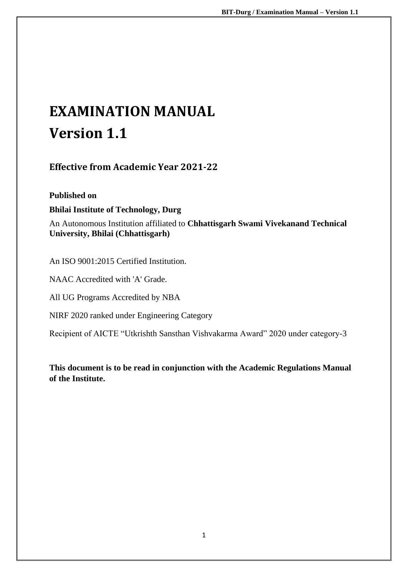# **EXAMINATION MANUAL Version 1.1**

**Effective from Academic Year 2021-22**

**Published on Bhilai Institute of Technology, Durg**

An Autonomous Institution affiliated to **Chhattisgarh Swami Vivekanand Technical University, Bhilai (Chhattisgarh)** 

An ISO 9001:2015 Certified Institution.

NAAC Accredited with 'A' Grade.

All UG Programs Accredited by NBA

NIRF 2020 ranked under Engineering Category

Recipient of AICTE "Utkrishth Sansthan Vishvakarma Award" 2020 under category-3

**This document is to be read in conjunction with the Academic Regulations Manual of the Institute.**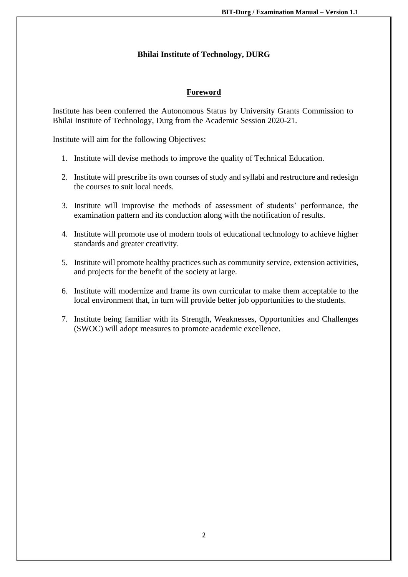#### **Bhilai Institute of Technology, DURG**

#### **Foreword**

Institute has been conferred the Autonomous Status by University Grants Commission to Bhilai Institute of Technology, Durg from the Academic Session 2020-21.

Institute will aim for the following Objectives:

- 1. Institute will devise methods to improve the quality of Technical Education.
- 2. Institute will prescribe its own courses of study and syllabi and restructure and redesign the courses to suit local needs.
- 3. Institute will improvise the methods of assessment of students' performance, the examination pattern and its conduction along with the notification of results.
- 4. Institute will promote use of modern tools of educational technology to achieve higher standards and greater creativity.
- 5. Institute will promote healthy practices such as community service, extension activities, and projects for the benefit of the society at large.
- 6. Institute will modernize and frame its own curricular to make them acceptable to the local environment that, in turn will provide better job opportunities to the students.
- 7. Institute being familiar with its Strength, Weaknesses, Opportunities and Challenges (SWOC) will adopt measures to promote academic excellence.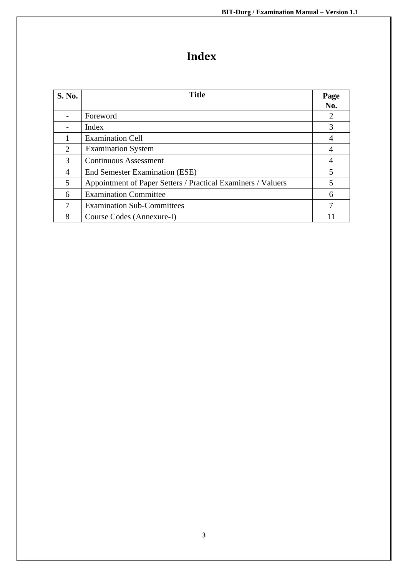## **Index**

| <b>S. No.</b>         | <b>Title</b>                                                 | Page<br>No. |
|-----------------------|--------------------------------------------------------------|-------------|
|                       | Foreword                                                     | 2           |
|                       | Index                                                        | 3           |
|                       | <b>Examination Cell</b>                                      | 4           |
| $\mathcal{D}_{\cdot}$ | <b>Examination System</b>                                    | 4           |
| $\mathcal{R}$         | <b>Continuous Assessment</b>                                 | 4           |
| 4                     | <b>End Semester Examination (ESE)</b>                        | 5           |
| 5                     | Appointment of Paper Setters / Practical Examiners / Valuers | 5           |
| 6                     | <b>Examination Committee</b>                                 | 6           |
|                       | <b>Examination Sub-Committees</b>                            |             |
| 8                     | Course Codes (Annexure-I)                                    |             |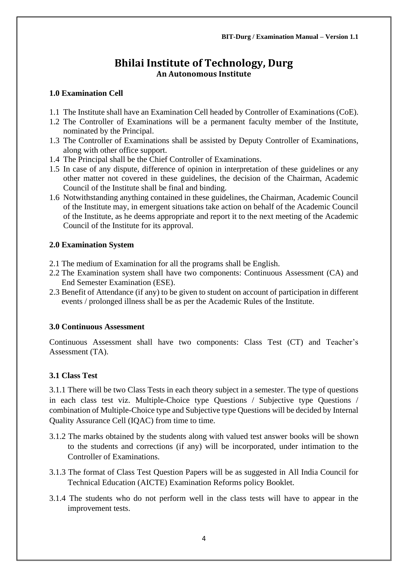### **Bhilai Institute of Technology, Durg An Autonomous Institute**

#### **1.0 Examination Cell**

- 1.1 The Institute shall have an Examination Cell headed by Controller of Examinations (CoE).
- 1.2 The Controller of Examinations will be a permanent faculty member of the Institute, nominated by the Principal.
- 1.3 The Controller of Examinations shall be assisted by Deputy Controller of Examinations, along with other office support.
- 1.4 The Principal shall be the Chief Controller of Examinations.
- 1.5 In case of any dispute, difference of opinion in interpretation of these guidelines or any other matter not covered in these guidelines, the decision of the Chairman, Academic Council of the Institute shall be final and binding.
- 1.6 Notwithstanding anything contained in these guidelines, the Chairman, Academic Council of the Institute may, in emergent situations take action on behalf of the Academic Council of the Institute, as he deems appropriate and report it to the next meeting of the Academic Council of the Institute for its approval.

#### **2.0 Examination System**

- 2.1 The medium of Examination for all the programs shall be English.
- 2.2 The Examination system shall have two components: Continuous Assessment (CA) and End Semester Examination (ESE).
- 2.3 Benefit of Attendance (if any) to be given to student on account of participation in different events / prolonged illness shall be as per the Academic Rules of the Institute.

#### **3.0 Continuous Assessment**

Continuous Assessment shall have two components: Class Test (CT) and Teacher's Assessment (TA).

#### **3.1 Class Test**

3.1.1 There will be two Class Tests in each theory subject in a semester. The type of questions in each class test viz. Multiple-Choice type Questions / Subjective type Questions / combination of Multiple-Choice type and Subjective type Questions will be decided by Internal Quality Assurance Cell (IQAC) from time to time.

- 3.1.2 The marks obtained by the students along with valued test answer books will be shown to the students and corrections (if any) will be incorporated, under intimation to the Controller of Examinations.
- 3.1.3 The format of Class Test Question Papers will be as suggested in All India Council for Technical Education (AICTE) Examination Reforms policy Booklet.
- 3.1.4 The students who do not perform well in the class tests will have to appear in the improvement tests.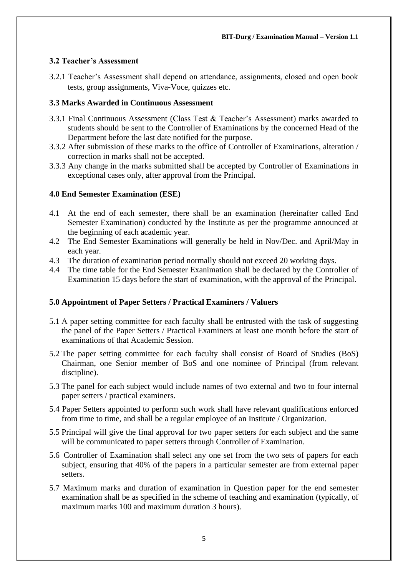#### **3.2 Teacher's Assessment**

3.2.1 Teacher's Assessment shall depend on attendance, assignments, closed and open book tests, group assignments, Viva-Voce, quizzes etc.

#### **3.3 Marks Awarded in Continuous Assessment**

- 3.3.1 Final Continuous Assessment (Class Test & Teacher's Assessment) marks awarded to students should be sent to the Controller of Examinations by the concerned Head of the Department before the last date notified for the purpose.
- 3.3.2 After submission of these marks to the office of Controller of Examinations, alteration / correction in marks shall not be accepted.
- 3.3.3 Any change in the marks submitted shall be accepted by Controller of Examinations in exceptional cases only, after approval from the Principal.

#### **4.0 End Semester Examination (ESE)**

- 4.1 At the end of each semester, there shall be an examination (hereinafter called End Semester Examination) conducted by the Institute as per the programme announced at the beginning of each academic year.
- 4.2 The End Semester Examinations will generally be held in Nov/Dec. and April/May in each year.
- 4.3 The duration of examination period normally should not exceed 20 working days.
- 4.4 The time table for the End Semester Exanimation shall be declared by the Controller of Examination 15 days before the start of examination, with the approval of the Principal.

#### **5.0 Appointment of Paper Setters / Practical Examiners / Valuers**

- 5.1 A paper setting committee for each faculty shall be entrusted with the task of suggesting the panel of the Paper Setters / Practical Examiners at least one month before the start of examinations of that Academic Session.
- 5.2 The paper setting committee for each faculty shall consist of Board of Studies (BoS) Chairman, one Senior member of BoS and one nominee of Principal (from relevant discipline).
- 5.3 The panel for each subject would include names of two external and two to four internal paper setters / practical examiners.
- 5.4 Paper Setters appointed to perform such work shall have relevant qualifications enforced from time to time, and shall be a regular employee of an Institute / Organization.
- 5.5 Principal will give the final approval for two paper setters for each subject and the same will be communicated to paper setters through Controller of Examination.
- 5.6 Controller of Examination shall select any one set from the two sets of papers for each subject, ensuring that 40% of the papers in a particular semester are from external paper setters.
- 5.7 Maximum marks and duration of examination in Question paper for the end semester examination shall be as specified in the scheme of teaching and examination (typically, of maximum marks 100 and maximum duration 3 hours).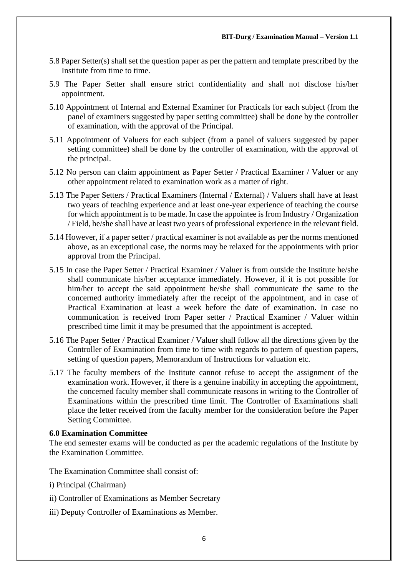- 5.8 Paper Setter(s) shall set the question paper as per the pattern and template prescribed by the Institute from time to time.
- 5.9 The Paper Setter shall ensure strict confidentiality and shall not disclose his/her appointment.
- 5.10 Appointment of Internal and External Examiner for Practicals for each subject (from the panel of examiners suggested by paper setting committee) shall be done by the controller of examination, with the approval of the Principal.
- 5.11 Appointment of Valuers for each subject (from a panel of valuers suggested by paper setting committee) shall be done by the controller of examination, with the approval of the principal.
- 5.12 No person can claim appointment as Paper Setter / Practical Examiner / Valuer or any other appointment related to examination work as a matter of right.
- 5.13 The Paper Setters / Practical Examiners (Internal / External) / Valuers shall have at least two years of teaching experience and at least one-year experience of teaching the course for which appointment is to be made. In case the appointee is from Industry / Organization / Field, he/she shall have at least two years of professional experience in the relevant field.
- 5.14 However, if a paper setter / practical examiner is not available as per the norms mentioned above, as an exceptional case, the norms may be relaxed for the appointments with prior approval from the Principal.
- 5.15 In case the Paper Setter / Practical Examiner / Valuer is from outside the Institute he/she shall communicate his/her acceptance immediately. However, if it is not possible for him/her to accept the said appointment he/she shall communicate the same to the concerned authority immediately after the receipt of the appointment, and in case of Practical Examination at least a week before the date of examination. In case no communication is received from Paper setter / Practical Examiner / Valuer within prescribed time limit it may be presumed that the appointment is accepted.
- 5.16 The Paper Setter / Practical Examiner / Valuer shall follow all the directions given by the Controller of Examination from time to time with regards to pattern of question papers, setting of question papers, Memorandum of Instructions for valuation etc.
- 5.17 The faculty members of the Institute cannot refuse to accept the assignment of the examination work. However, if there is a genuine inability in accepting the appointment, the concerned faculty member shall communicate reasons in writing to the Controller of Examinations within the prescribed time limit. The Controller of Examinations shall place the letter received from the faculty member for the consideration before the Paper Setting Committee.

#### **6.0 Examination Committee**

The end semester exams will be conducted as per the academic regulations of the Institute by the Examination Committee.

The Examination Committee shall consist of:

- i) Principal (Chairman)
- ii) Controller of Examinations as Member Secretary
- iii) Deputy Controller of Examinations as Member.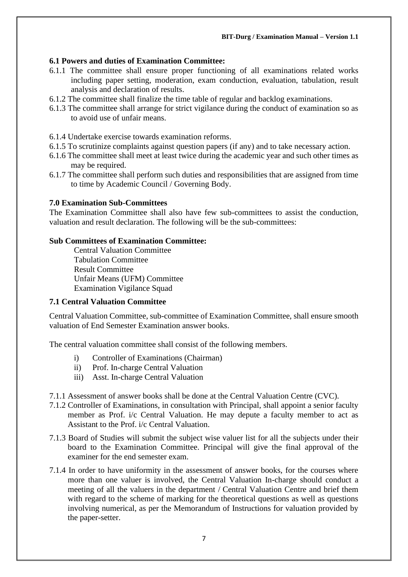#### **6.1 Powers and duties of Examination Committee:**

- 6.1.1 The committee shall ensure proper functioning of all examinations related works including paper setting, moderation, exam conduction, evaluation, tabulation, result analysis and declaration of results.
- 6.1.2 The committee shall finalize the time table of regular and backlog examinations.
- 6.1.3 The committee shall arrange for strict vigilance during the conduct of examination so as to avoid use of unfair means.

#### 6.1.4 Undertake exercise towards examination reforms.

- 6.1.5 To scrutinize complaints against question papers (if any) and to take necessary action.
- 6.1.6 The committee shall meet at least twice during the academic year and such other times as may be required.
- 6.1.7 The committee shall perform such duties and responsibilities that are assigned from time to time by Academic Council / Governing Body.

#### **7.0 Examination Sub-Committees**

The Examination Committee shall also have few sub-committees to assist the conduction, valuation and result declaration. The following will be the sub-committees:

#### **Sub Committees of Examination Committee:**

Central Valuation Committee Tabulation Committee Result Committee Unfair Means (UFM) Committee Examination Vigilance Squad

#### **7.1 Central Valuation Committee**

Central Valuation Committee, sub-committee of Examination Committee, shall ensure smooth valuation of End Semester Examination answer books.

The central valuation committee shall consist of the following members.

- i) Controller of Examinations (Chairman)
- ii) Prof. In-charge Central Valuation
- iii) Asst. In-charge Central Valuation

7.1.1 Assessment of answer books shall be done at the Central Valuation Centre (CVC).

- 7.1.2 Controller of Examinations, in consultation with Principal, shall appoint a senior faculty member as Prof. i/c Central Valuation. He may depute a faculty member to act as Assistant to the Prof. i/c Central Valuation.
- 7.1.3 Board of Studies will submit the subject wise valuer list for all the subjects under their board to the Examination Committee. Principal will give the final approval of the examiner for the end semester exam.
- 7.1.4 In order to have uniformity in the assessment of answer books, for the courses where more than one valuer is involved, the Central Valuation In-charge should conduct a meeting of all the valuers in the department / Central Valuation Centre and brief them with regard to the scheme of marking for the theoretical questions as well as questions involving numerical, as per the Memorandum of Instructions for valuation provided by the paper-setter.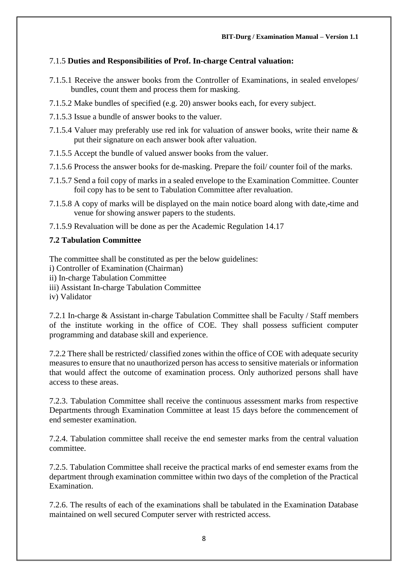#### 7.1.5 **Duties and Responsibilities of Prof. In-charge Central valuation:**

- 7.1.5.1 Receive the answer books from the Controller of Examinations, in sealed envelopes/ bundles, count them and process them for masking.
- 7.1.5.2 Make bundles of specified (e.g. 20) answer books each, for every subject.
- 7.1.5.3 Issue a bundle of answer books to the valuer.
- 7.1.5.4 Valuer may preferably use red ink for valuation of answer books, write their name & put their signature on each answer book after valuation.
- 7.1.5.5 Accept the bundle of valued answer books from the valuer.
- 7.1.5.6 Process the answer books for de-masking. Prepare the foil/ counter foil of the marks.
- 7.1.5.7 Send a foil copy of marks in a sealed envelope to the Examination Committee. Counter foil copy has to be sent to Tabulation Committee after revaluation.
- 7.1.5.8 A copy of marks will be displayed on the main notice board along with date, time and venue for showing answer papers to the students.
- 7.1.5.9 Revaluation will be done as per the Academic Regulation 14.17

#### **7.2 Tabulation Committee**

The committee shall be constituted as per the below guidelines:

- i) Controller of Examination (Chairman)
- ii) In-charge Tabulation Committee
- iii) Assistant In-charge Tabulation Committee
- iv) Validator

7.2.1 In-charge & Assistant in-charge Tabulation Committee shall be Faculty / Staff members of the institute working in the office of COE. They shall possess sufficient computer programming and database skill and experience.

7.2.2 There shall be restricted/ classified zones within the office of COE with adequate security measures to ensure that no unauthorized person has access to sensitive materials or information that would affect the outcome of examination process. Only authorized persons shall have access to these areas.

7.2.3. Tabulation Committee shall receive the continuous assessment marks from respective Departments through Examination Committee at least 15 days before the commencement of end semester examination.

7.2.4. Tabulation committee shall receive the end semester marks from the central valuation committee.

7.2.5. Tabulation Committee shall receive the practical marks of end semester exams from the department through examination committee within two days of the completion of the Practical Examination.

7.2.6. The results of each of the examinations shall be tabulated in the Examination Database maintained on well secured Computer server with restricted access.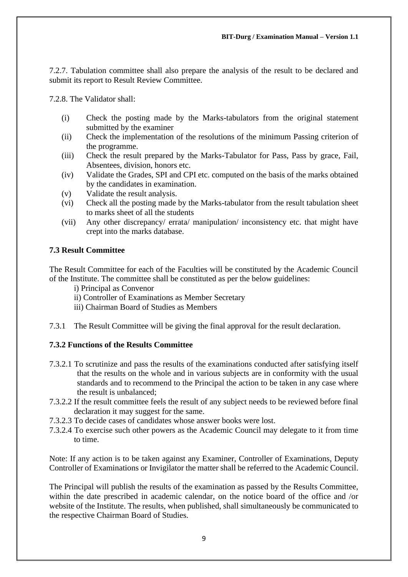7.2.7. Tabulation committee shall also prepare the analysis of the result to be declared and submit its report to Result Review Committee.

7.2.8. The Validator shall:

- (i) Check the posting made by the Marks-tabulators from the original statement submitted by the examiner
- (ii) Check the implementation of the resolutions of the minimum Passing criterion of the programme.
- (iii) Check the result prepared by the Marks-Tabulator for Pass, Pass by grace, Fail, Absentees, division, honors etc.
- (iv) Validate the Grades, SPI and CPI etc. computed on the basis of the marks obtained by the candidates in examination.
- (v) Validate the result analysis.
- (vi) Check all the posting made by the Marks-tabulator from the result tabulation sheet to marks sheet of all the students
- (vii) Any other discrepancy/ errata/ manipulation/ inconsistency etc. that might have crept into the marks database.

#### **7.3 Result Committee**

The Result Committee for each of the Faculties will be constituted by the Academic Council of the Institute. The committee shall be constituted as per the below guidelines:

- i) Principal as Convenor
- ii) Controller of Examinations as Member Secretary
- iii) Chairman Board of Studies as Members
- 7.3.1 The Result Committee will be giving the final approval for the result declaration.

#### **7.3.2 Functions of the Results Committee**

- 7.3.2.1 To scrutinize and pass the results of the examinations conducted after satisfying itself that the results on the whole and in various subjects are in conformity with the usual standards and to recommend to the Principal the action to be taken in any case where the result is unbalanced;
- 7.3.2.2 If the result committee feels the result of any subject needs to be reviewed before final declaration it may suggest for the same.
- 7.3.2.3 To decide cases of candidates whose answer books were lost.
- 7.3.2.4 To exercise such other powers as the Academic Council may delegate to it from time to time.

Note: If any action is to be taken against any Examiner, Controller of Examinations, Deputy Controller of Examinations or Invigilator the matter shall be referred to the Academic Council.

The Principal will publish the results of the examination as passed by the Results Committee, within the date prescribed in academic calendar, on the notice board of the office and /or website of the Institute. The results, when published, shall simultaneously be communicated to the respective Chairman Board of Studies.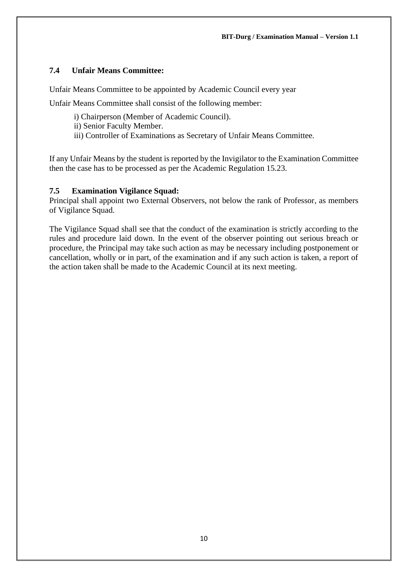#### **7.4 Unfair Means Committee:**

Unfair Means Committee to be appointed by Academic Council every year

Unfair Means Committee shall consist of the following member:

- i) Chairperson (Member of Academic Council).
- ii) Senior Faculty Member.
- iii) Controller of Examinations as Secretary of Unfair Means Committee.

If any Unfair Means by the student is reported by the Invigilator to the Examination Committee then the case has to be processed as per the Academic Regulation 15.23.

#### **7.5 Examination Vigilance Squad:**

Principal shall appoint two External Observers, not below the rank of Professor, as members of Vigilance Squad.

The Vigilance Squad shall see that the conduct of the examination is strictly according to the rules and procedure laid down. In the event of the observer pointing out serious breach or procedure, the Principal may take such action as may be necessary including postponement or cancellation, wholly or in part, of the examination and if any such action is taken, a report of the action taken shall be made to the Academic Council at its next meeting.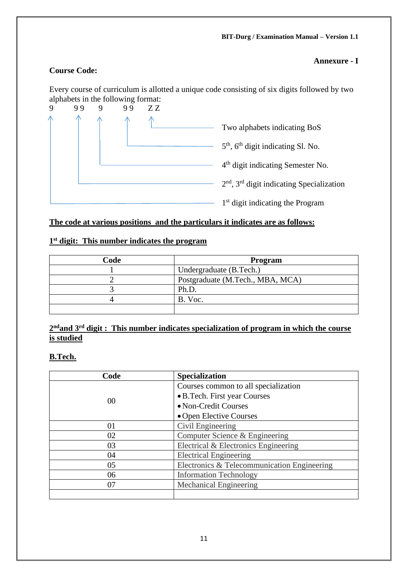#### **Annexure - I**

#### **Course Code:**

Every course of curriculum is allotted a unique code consisting of six digits followed by two alphabets in the following format:



#### **The code at various positions and the particulars it indicates are as follows:**

#### **1 st digit: This number indicates the program**

| Code | <b>Program</b>                   |
|------|----------------------------------|
|      | Undergraduate (B.Tech.)          |
|      | Postgraduate (M.Tech., MBA, MCA) |
|      | Ph.D.                            |
|      | B. Voc.                          |
|      |                                  |

#### **2 ndand 3rd digit : This number indicates specialization of program in which the course is studied**

#### **B.Tech.**

| Code | <b>Specialization</b>                       |
|------|---------------------------------------------|
|      | Courses common to all specialization        |
|      | • B. Tech. First year Courses               |
| 00   | • Non-Credit Courses                        |
|      | • Open Elective Courses                     |
| 01   | Civil Engineering                           |
| 02   | Computer Science & Engineering              |
| 03   | Electrical & Electronics Engineering        |
| 04   | <b>Electrical Engineering</b>               |
| 05   | Electronics & Telecommunication Engineering |
| 06   | <b>Information Technology</b>               |
| 07   | Mechanical Engineering                      |
|      |                                             |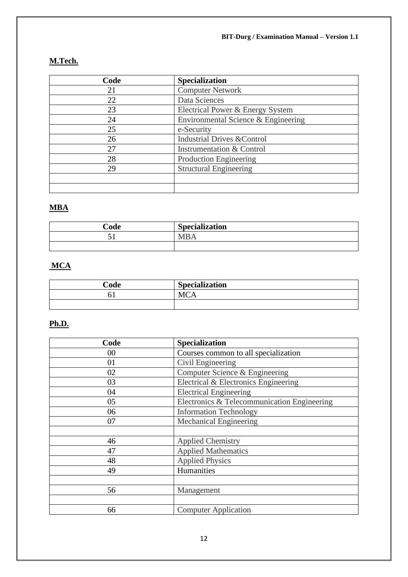## **M.Tech.**

| Code | <b>Specialization</b>                  |
|------|----------------------------------------|
| 21   | <b>Computer Network</b>                |
| 22   | Data Sciences                          |
| 23   | Electrical Power & Energy System       |
| 24   | Environmental Science & Engineering    |
| 25   | e-Security                             |
| 26   | <b>Industrial Drives &amp; Control</b> |
| 27   | Instrumentation & Control              |
| 28   | <b>Production Engineering</b>          |
| 29   | <b>Structural Engineering</b>          |
|      |                                        |
|      |                                        |

## **MBA**

| Code | <b>Specialization</b> |
|------|-----------------------|
| ັ    | <b>MR</b>             |
|      |                       |

#### **MCA**

| Code | <b>Specialization</b> |
|------|-----------------------|
|      |                       |
|      |                       |

## **Ph.D.**

| Code | Specialization                              |
|------|---------------------------------------------|
| 00   | Courses common to all specialization        |
| 01   | Civil Engineering                           |
| 02   | Computer Science & Engineering              |
| 03   | Electrical & Electronics Engineering        |
| 04   | <b>Electrical Engineering</b>               |
| 05   | Electronics & Telecommunication Engineering |
| 06   | <b>Information Technology</b>               |
| 07   | <b>Mechanical Engineering</b>               |
|      |                                             |
| 46   | <b>Applied Chemistry</b>                    |
| 47   | <b>Applied Mathematics</b>                  |
| 48   | <b>Applied Physics</b>                      |
| 49   | Humanities                                  |
|      |                                             |
| 56   | Management                                  |
|      |                                             |
| 66   | <b>Computer Application</b>                 |